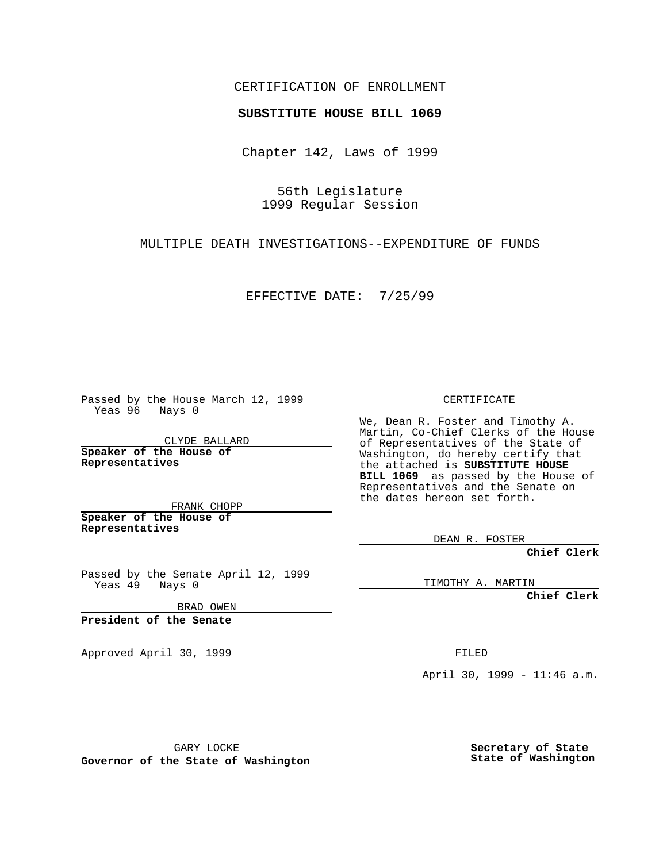## CERTIFICATION OF ENROLLMENT

## **SUBSTITUTE HOUSE BILL 1069**

Chapter 142, Laws of 1999

56th Legislature 1999 Regular Session

MULTIPLE DEATH INVESTIGATIONS--EXPENDITURE OF FUNDS

EFFECTIVE DATE: 7/25/99

Passed by the House March 12, 1999 Yeas 96 Nays 0

CLYDE BALLARD **Speaker of the House of Representatives**

FRANK CHOPP **Speaker of the House of Representatives**

Passed by the Senate April 12, 1999 Yeas 49 Nays 0

BRAD OWEN

**President of the Senate**

Approved April 30, 1999 **FILED** 

CERTIFICATE

We, Dean R. Foster and Timothy A. Martin, Co-Chief Clerks of the House of Representatives of the State of Washington, do hereby certify that the attached is **SUBSTITUTE HOUSE BILL 1069** as passed by the House of Representatives and the Senate on the dates hereon set forth.

DEAN R. FOSTER

**Chief Clerk**

TIMOTHY A. MARTIN

**Chief Clerk**

April 30, 1999 - 11:46 a.m.

GARY LOCKE

**Governor of the State of Washington**

**Secretary of State State of Washington**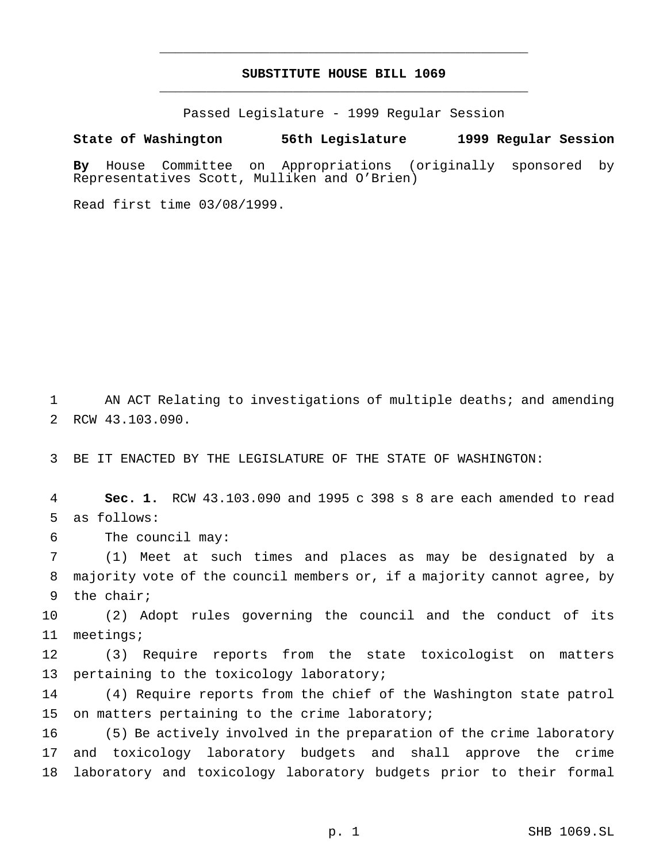## **SUBSTITUTE HOUSE BILL 1069** \_\_\_\_\_\_\_\_\_\_\_\_\_\_\_\_\_\_\_\_\_\_\_\_\_\_\_\_\_\_\_\_\_\_\_\_\_\_\_\_\_\_\_\_\_\_\_

\_\_\_\_\_\_\_\_\_\_\_\_\_\_\_\_\_\_\_\_\_\_\_\_\_\_\_\_\_\_\_\_\_\_\_\_\_\_\_\_\_\_\_\_\_\_\_

Passed Legislature - 1999 Regular Session

**State of Washington 56th Legislature 1999 Regular Session**

**By** House Committee on Appropriations (originally sponsored by Representatives Scott, Mulliken and O'Brien)

Read first time 03/08/1999.

1 AN ACT Relating to investigations of multiple deaths; and amending 2 RCW 43.103.090.

3 BE IT ENACTED BY THE LEGISLATURE OF THE STATE OF WASHINGTON:

4 **Sec. 1.** RCW 43.103.090 and 1995 c 398 s 8 are each amended to read 5 as follows:

6 The council may:

7 (1) Meet at such times and places as may be designated by a 8 majority vote of the council members or, if a majority cannot agree, by 9 the chair;

10 (2) Adopt rules governing the council and the conduct of its 11 meetings;

12 (3) Require reports from the state toxicologist on matters 13 pertaining to the toxicology laboratory;

14 (4) Require reports from the chief of the Washington state patrol 15 on matters pertaining to the crime laboratory;

16 (5) Be actively involved in the preparation of the crime laboratory 17 and toxicology laboratory budgets and shall approve the crime 18 laboratory and toxicology laboratory budgets prior to their formal